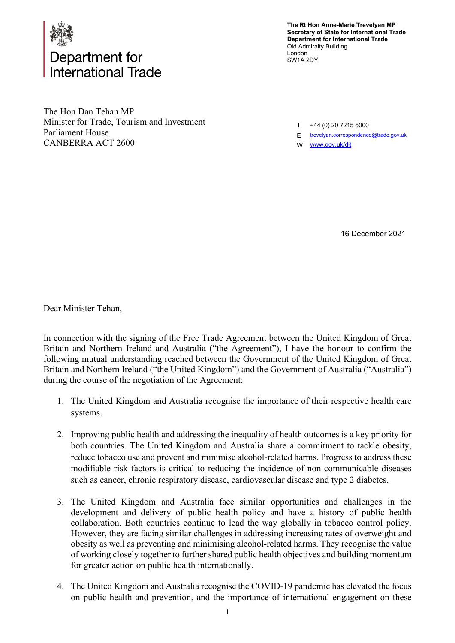

## Department for nternational Trade

**The Rt Hon Anne-Marie Trevelyan MP Secretary of State for International Trade Department for International Trade** Old Admiralty Building London SW1A 2DY

The Hon Dan Tehan MP Minister for Trade, Tourism and Investment Parliament House CANBERRA ACT 2600

T +44 (0) 20 7215 5000

E [trevelyan.correspondence@trade.gov.uk](mailto:trevelyan.correspondence@trade.gov.uk) 

W <u>www.gov.uk/dit</u>

16 December 2021

Dear Minister Tehan,

In connection with the signing of the Free Trade Agreement between the United Kingdom of Great Britain and Northern Ireland and Australia ("the Agreement"), I have the honour to confirm the following mutual understanding reached between the Government of the United Kingdom of Great Britain and Northern Ireland ("the United Kingdom") and the Government of Australia ("Australia") during the course of the negotiation of the Agreement:

- 1. The United Kingdom and Australia recognise the importance of their respective health care systems.
- 2. Improving public health and addressing the inequality of health outcomes is a key priority for both countries. The United Kingdom and Australia share a commitment to tackle obesity, reduce tobacco use and prevent and minimise alcohol-related harms. Progress to address these modifiable risk factors is critical to reducing the incidence of non-communicable diseases such as cancer, chronic respiratory disease, cardiovascular disease and type 2 diabetes.
- 3. The United Kingdom and Australia face similar opportunities and challenges in the development and delivery of public health policy and have a history of public health collaboration. Both countries continue to lead the way globally in tobacco control policy. However, they are facing similar challenges in addressing increasing rates of overweight and obesity as well as preventing and minimising alcohol-related harms. They recognise the value of working closely together to further shared public health objectives and building momentum for greater action on public health internationally.
- 4. The United Kingdom and Australia recognise the COVID-19 pandemic has elevated the focus on public health and prevention, and the importance of international engagement on these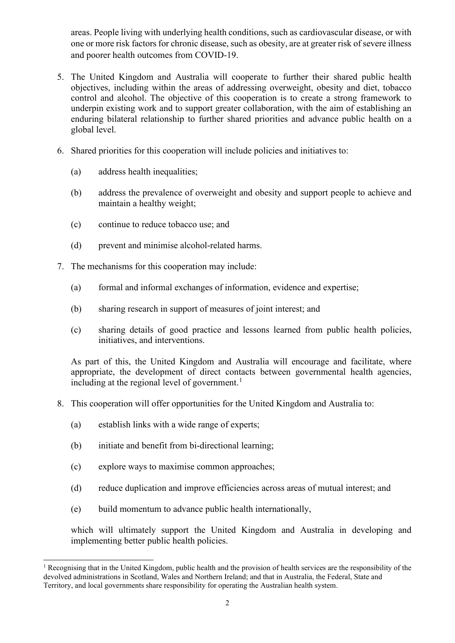areas. People living with underlying health conditions, such as cardiovascular disease, or with one or more risk factors for chronic disease, such as obesity, are at greater risk of severe illness and poorer health outcomes from COVID-19.

- 5. The United Kingdom and Australia will cooperate to further their shared public health objectives, including within the areas of addressing overweight, obesity and diet, tobacco control and alcohol. The objective of this cooperation is to create a strong framework to underpin existing work and to support greater collaboration, with the aim of establishing an enduring bilateral relationship to further shared priorities and advance public health on a global level.
- 6. Shared priorities for this cooperation will include policies and initiatives to:
	- (a) address health inequalities;
	- (b) address the prevalence of overweight and obesity and support people to achieve and maintain a healthy weight;
	- (c) continue to reduce tobacco use; and
	- (d) prevent and minimise alcohol-related harms.
- 7. The mechanisms for this cooperation may include:
	- (a) formal and informal exchanges of information, evidence and expertise;
	- (b) sharing research in support of measures of joint interest; and
	- (c) sharing details of good practice and lessons learned from public health policies, initiatives, and interventions.

As part of this, the United Kingdom and Australia will encourage and facilitate, where appropriate, the development of direct contacts between governmental health agencies, including at the regional level of government.<sup>[1](#page-1-0)</sup>

- 8. This cooperation will offer opportunities for the United Kingdom and Australia to:
	- (a) establish links with a wide range of experts;
	- (b) initiate and benefit from bi-directional learning;
	- (c) explore ways to maximise common approaches;
	- (d) reduce duplication and improve efficiencies across areas of mutual interest; and
	- (e) build momentum to advance public health internationally,

which will ultimately support the United Kingdom and Australia in developing and implementing better public health policies.

<span id="page-1-0"></span><sup>&</sup>lt;sup>1</sup> Recognising that in the United Kingdom, public health and the provision of health services are the responsibility of the devolved administrations in Scotland, Wales and Northern Ireland; and that in Australia, the Federal, State and Territory, and local governments share responsibility for operating the Australian health system.